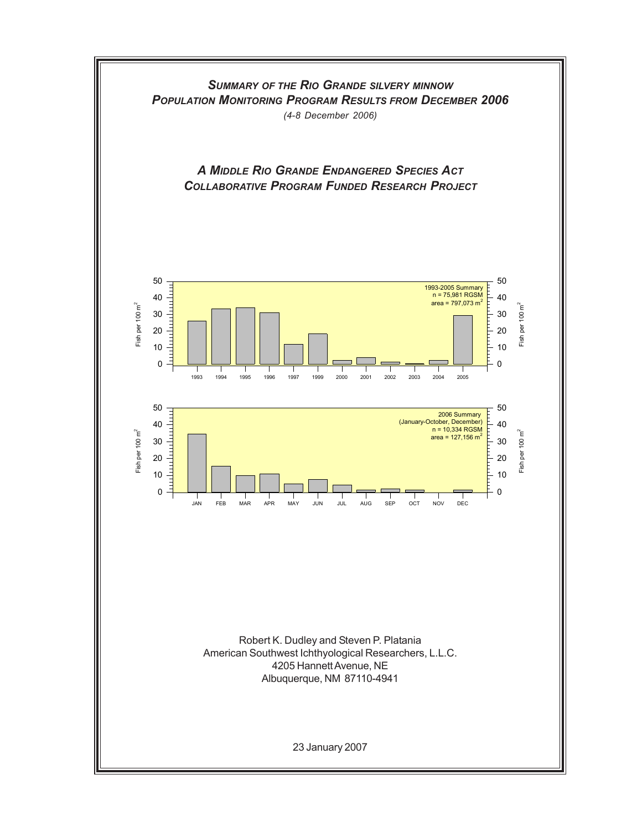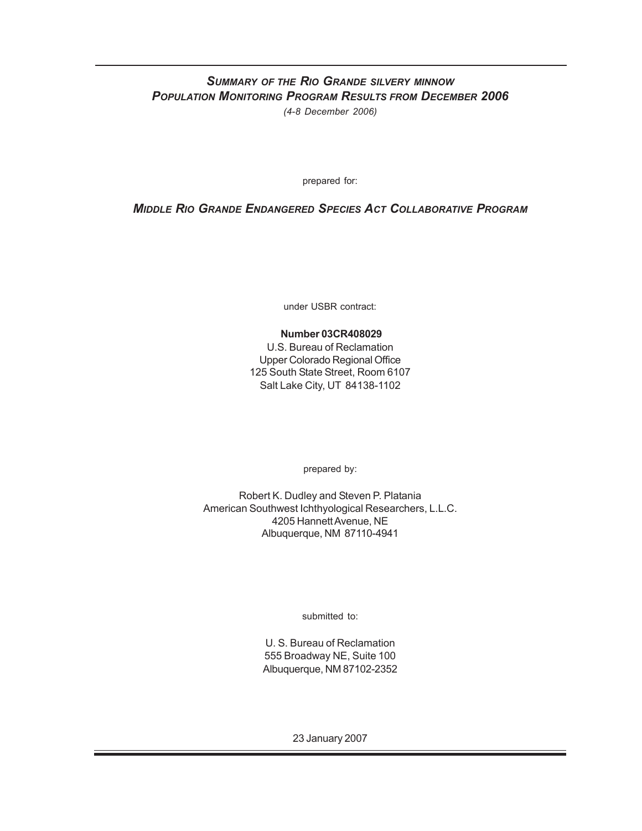## *SUMMARY OF THE RIO GRANDE SILVERY MINNOW POPULATION MONITORING PROGRAM RESULTS FROM DECEMBER 2006 (4-8 December 2006)*

prepared for:

## *MIDDLE RIO GRANDE ENDANGERED SPECIES ACT COLLABORATIVE PROGRAM*

under USBR contract:

### **Number 03CR408029**

U.S. Bureau of Reclamation Upper Colorado Regional Office 125 South State Street, Room 6107 Salt Lake City, UT 84138-1102

prepared by:

Robert K. Dudley and Steven P. Platania American Southwest Ichthyological Researchers, L.L.C. 4205 Hannett Avenue, NE Albuquerque, NM 87110-4941

submitted to:

U. S. Bureau of Reclamation 555 Broadway NE, Suite 100 Albuquerque, NM 87102-2352

23 January 2007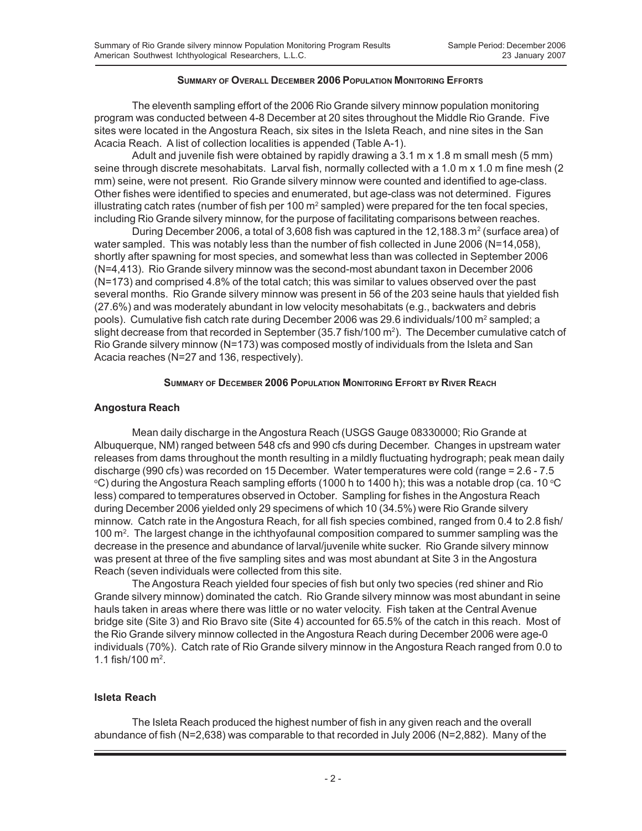#### **SUMMARY OF OVERALL DECEMBER 2006 POPULATION MONITORING EFFORTS**

The eleventh sampling effort of the 2006 Rio Grande silvery minnow population monitoring program was conducted between 4-8 December at 20 sites throughout the Middle Rio Grande. Five sites were located in the Angostura Reach, six sites in the Isleta Reach, and nine sites in the San Acacia Reach. A list of collection localities is appended (Table A-1).

Adult and juvenile fish were obtained by rapidly drawing a 3.1 m x 1.8 m small mesh (5 mm) seine through discrete mesohabitats. Larval fish, normally collected with a 1.0 m x 1.0 m fine mesh (2) mm) seine, were not present. Rio Grande silvery minnow were counted and identified to age-class. Other fishes were identified to species and enumerated, but age-class was not determined. Figures illustrating catch rates (number of fish per 100 m<sup>2</sup> sampled) were prepared for the ten focal species, including Rio Grande silvery minnow, for the purpose of facilitating comparisons between reaches.

During December 2006, a total of 3,608 fish was captured in the 12,188.3 m<sup>2</sup> (surface area) of water sampled. This was notably less than the number of fish collected in June 2006 (N=14,058), shortly after spawning for most species, and somewhat less than was collected in September 2006 (N=4,413). Rio Grande silvery minnow was the second-most abundant taxon in December 2006 (N=173) and comprised 4.8% of the total catch; this was similar to values observed over the past several months. Rio Grande silvery minnow was present in 56 of the 203 seine hauls that yielded fish (27.6%) and was moderately abundant in low velocity mesohabitats (e.g., backwaters and debris pools). Cumulative fish catch rate during December 2006 was 29.6 individuals/100 m<sup>2</sup> sampled; a slight decrease from that recorded in September (35.7 fish/100  $m<sup>2</sup>$ ). The December cumulative catch of Rio Grande silvery minnow (N=173) was composed mostly of individuals from the Isleta and San Acacia reaches (N=27 and 136, respectively).

### **SUMMARY OF DECEMBER 2006 POPULATION MONITORING EFFORT BY RIVER REACH**

### **Angostura Reach**

Mean daily discharge in the Angostura Reach (USGS Gauge 08330000; Rio Grande at Albuquerque, NM) ranged between 548 cfs and 990 cfs during December. Changes in upstream water releases from dams throughout the month resulting in a mildly fluctuating hydrograph; peak mean daily discharge (990 cfs) was recorded on 15 December. Water temperatures were cold (range = 2.6 - 7.5 °C) during the Angostura Reach sampling efforts (1000 h to 1400 h); this was a notable drop (ca. 10 °C less) compared to temperatures observed in October. Sampling for fishes in the Angostura Reach during December 2006 yielded only 29 specimens of which 10 (34.5%) were Rio Grande silvery minnow. Catch rate in the Angostura Reach, for all fish species combined, ranged from 0.4 to 2.8 fish/ 100  $\mathrm{m}^2$ . The largest change in the ichthyofaunal composition compared to summer sampling was the decrease in the presence and abundance of larval/juvenile white sucker. Rio Grande silvery minnow was present at three of the five sampling sites and was most abundant at Site 3 in the Angostura Reach (seven individuals were collected from this site.

The Angostura Reach yielded four species of fish but only two species (red shiner and Rio Grande silvery minnow) dominated the catch. Rio Grande silvery minnow was most abundant in seine hauls taken in areas where there was little or no water velocity. Fish taken at the Central Avenue bridge site (Site 3) and Rio Bravo site (Site 4) accounted for 65.5% of the catch in this reach. Most of the Rio Grande silvery minnow collected in the Angostura Reach during December 2006 were age-0 individuals (70%). Catch rate of Rio Grande silvery minnow in the Angostura Reach ranged from 0.0 to 1.1 fish/100  $\mathrm{m}^2$ .

### **Isleta Reach**

The Isleta Reach produced the highest number of fish in any given reach and the overall abundance of fish (N=2,638) was comparable to that recorded in July 2006 (N=2,882). Many of the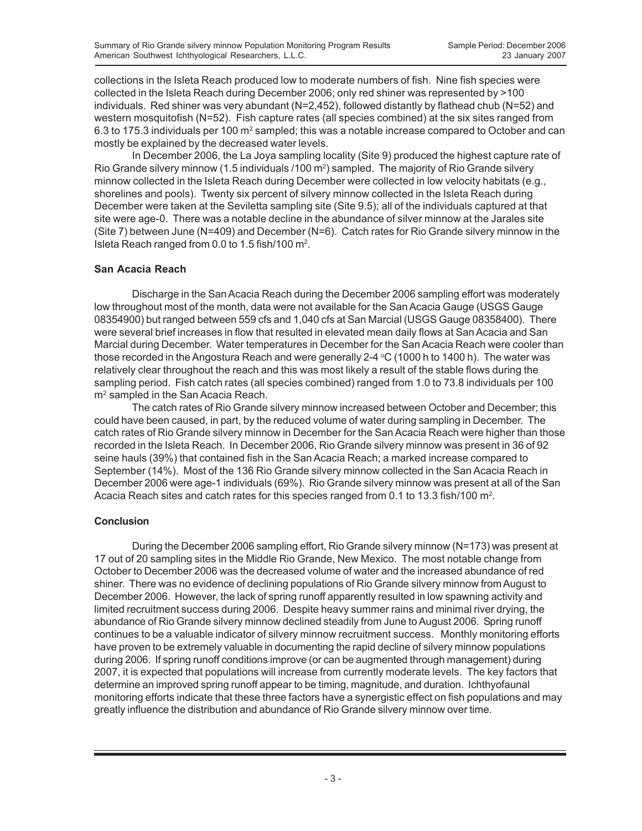collections in the Isleta Reach produced low to moderate numbers of fish. Nine fish species were collected in the Isleta Reach during December 2006; only red shiner was represented by >100 individuals. Red shiner was very abundant (N=2,452), followed distantly by flathead chub (N=52) and western mosquitofish (N=52). Fish capture rates (all species combined) at the six sites ranged from 6.3 to 175.3 individuals per 100 m<sup>2</sup> sampled; this was a notable increase compared to October and can mostly be explained by the decreased water levels.

In December 2006, the La Joya sampling locality (Site 9) produced the highest capture rate of Rio Grande silvery minnow (1.5 individuals /100 m<sup>2</sup>) sampled. The majority of Rio Grande silvery minnow collected in the Isleta Reach during December were collected in low velocity habitats (e.g., shorelines and pools). Twenty six percent of silvery minnow collected in the Isleta Reach during December were taken at the Seviletta sampling site (Site 9.5); all of the individuals captured at that site were age-0. There was a notable decline in the abundance of silver minnow at the Jarales site (Site 7) between June (N=409) and December (N=6). Catch rates for Rio Grande silvery minnow in the Isleta Reach ranged from 0.0 to 1.5 fish/100  $m^2$ .

### **San Acacia Reach**

Discharge in the San Acacia Reach during the December 2006 sampling effort was moderately low throughout most of the month, data were not available for the San Acacia Gauge (USGS Gauge 08354900) but ranged between 559 cfs and 1,040 cfs at San Marcial (USGS Gauge 08358400). There were several brief increases in flow that resulted in elevated mean daily flows at San Acacia and San Marcial during December. Water temperatures in December for the San Acacia Reach were cooler than those recorded in the Angostura Reach and were generally 2-4 °C (1000 h to 1400 h). The water was relatively clear throughout the reach and this was most likely a result of the stable flows during the sampling period. Fish catch rates (all species combined) ranged from 1.0 to 73.8 individuals per 100 m<sup>2</sup> sampled in the San Acacia Reach.

The catch rates of Rio Grande silvery minnow increased between October and December; this could have been caused, in part, by the reduced volume of water during sampling in December. The catch rates of Rio Grande silvery minnow in December for the San Acacia Reach were higher than those recorded in the Isleta Reach. In December 2006, Rio Grande silvery minnow was present in 36 of 92 seine hauls (39%) that contained fish in the San Acacia Reach; a marked increase compared to September (14%). Most of the 136 Rio Grande silvery minnow collected in the San Acacia Reach in December 2006 were age-1 individuals (69%). Rio Grande silvery minnow was present at all of the San Acacia Reach sites and catch rates for this species ranged from 0.1 to 13.3 fish/100 m<sup>2</sup>.

#### **Conclusion**

During the December 2006 sampling effort, Rio Grande silvery minnow (N=173) was present at 17 out of 20 sampling sites in the Middle Rio Grande, New Mexico. The most notable change from October to December 2006 was the decreased volume of water and the increased abundance of red shiner. There was no evidence of declining populations of Rio Grande silvery minnow from August to December 2006. However, the lack of spring runoff apparently resulted in low spawning activity and limited recruitment success during 2006. Despite heavy summer rains and minimal river drying, the abundance of Rio Grande silvery minnow declined steadily from June to August 2006. Spring runoff continues to be a valuable indicator of silvery minnow recruitment success. Monthly monitoring efforts have proven to be extremely valuable in documenting the rapid decline of silvery minnow populations during 2006. If spring runoff conditions improve (or can be augmented through management) during 2007, it is expected that populations will increase from currently moderate levels. The key factors that determine an improved spring runoff appear to be timing, magnitude, and duration. Ichthyofaunal monitoring efforts indicate that these three factors have a synergistic effect on fish populations and may greatly influence the distribution and abundance of Rio Grande silvery minnow over time.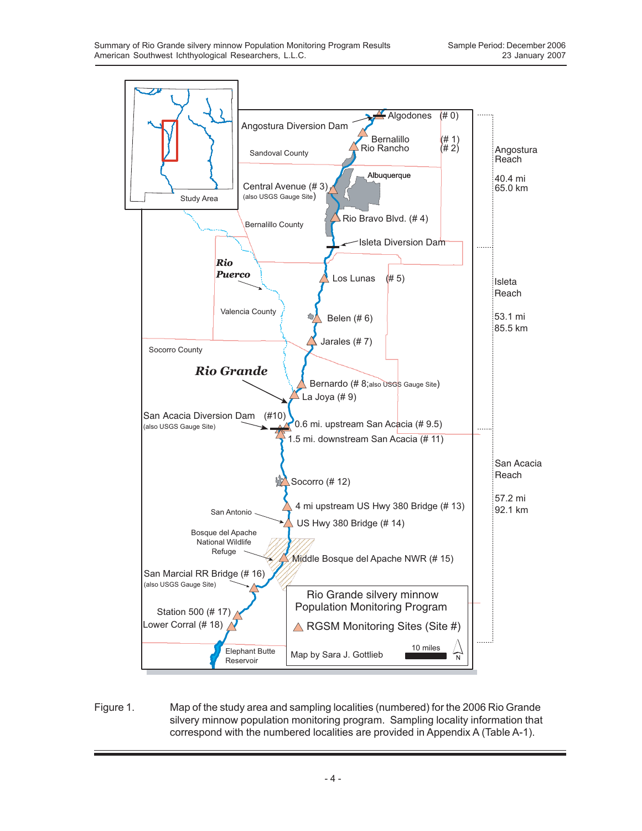

Figure 1. Map of the study area and sampling localities (numbered) for the 2006 Rio Grande silvery minnow population monitoring program. Sampling locality information that correspond with the numbered localities are provided in Appendix A (Table A-1).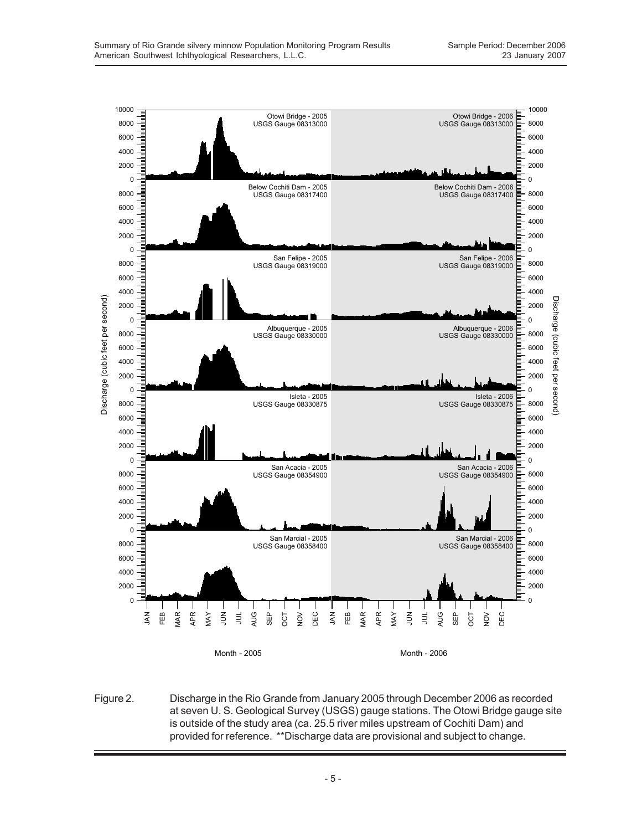

Figure 2. Discharge in the Rio Grande from January 2005 through December 2006 as recorded at seven U. S. Geological Survey (USGS) gauge stations. The Otowi Bridge gauge site is outside of the study area (ca. 25.5 river miles upstream of Cochiti Dam) and provided for reference. \*\*Discharge data are provisional and subject to change.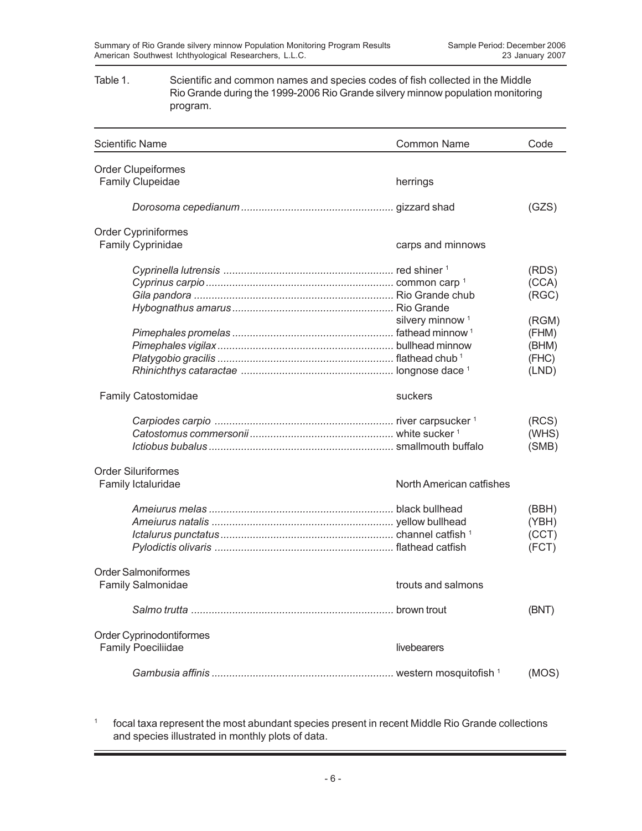### Table 1. Scientific and common names and species codes of fish collected in the Middle Rio Grande during the 1999-2006 Rio Grande silvery minnow population monitoring program.

| <b>Scientific Name</b>     | <b>Common Name</b>          | Code  |
|----------------------------|-----------------------------|-------|
| <b>Order Clupeiformes</b>  |                             |       |
| Family Clupeidae           | herrings                    |       |
|                            |                             | (GZS) |
| Order Cypriniformes        |                             |       |
| <b>Family Cyprinidae</b>   | carps and minnows           |       |
|                            |                             | (RDS) |
|                            |                             | (CCA) |
|                            |                             | (RGC) |
|                            |                             |       |
|                            | silvery minnow <sup>1</sup> | (RGM) |
|                            |                             | (FHM) |
|                            |                             | (BHM) |
|                            |                             | (FHC) |
|                            |                             | (LND) |
| <b>Family Catostomidae</b> | suckers                     |       |
|                            |                             | (RCS) |
|                            |                             | (WHS) |
|                            |                             | (SMB) |
| <b>Order Siluriformes</b>  |                             |       |
| Family Ictaluridae         | North American catfishes    |       |
|                            |                             | (BBH) |
|                            |                             | (YBH) |
|                            |                             | (CCT) |
|                            |                             | (FCT) |
| <b>Order Salmoniformes</b> |                             |       |
| <b>Family Salmonidae</b>   | trouts and salmons          |       |
|                            |                             | (BNT) |
| Order Cyprinodontiformes   |                             |       |
| <b>Family Poeciliidae</b>  | livebearers                 |       |
|                            |                             | (MOS) |

<sup>1</sup> focal taxa represent the most abundant species present in recent Middle Rio Grande collections and species illustrated in monthly plots of data.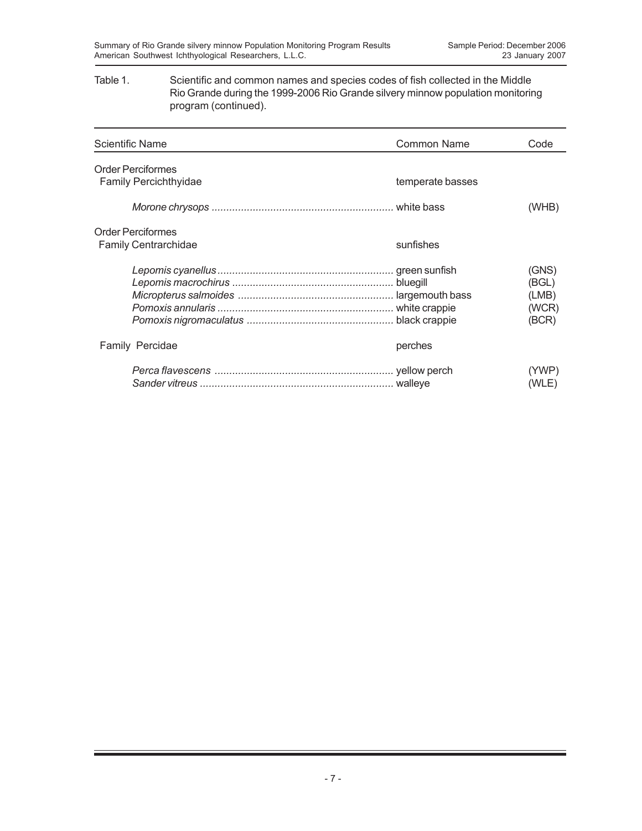### Table 1. Scientific and common names and species codes of fish collected in the Middle Rio Grande during the 1999-2006 Rio Grande silvery minnow population monitoring program (continued).

| Scientific Name                                         | <b>Common Name</b> | Code                                      |
|---------------------------------------------------------|--------------------|-------------------------------------------|
| <b>Order Perciformes</b><br>Family Percichthyidae       | temperate basses   |                                           |
|                                                         |                    | (WHB)                                     |
| <b>Order Perciformes</b><br><b>Family Centrarchidae</b> | sunfishes          |                                           |
|                                                         |                    | (GNS)<br>(BGL)<br>(LMB)<br>(WCR)<br>(BCR) |
| Family Percidae                                         | perches            |                                           |
|                                                         |                    | (YWP)<br>(WLE)                            |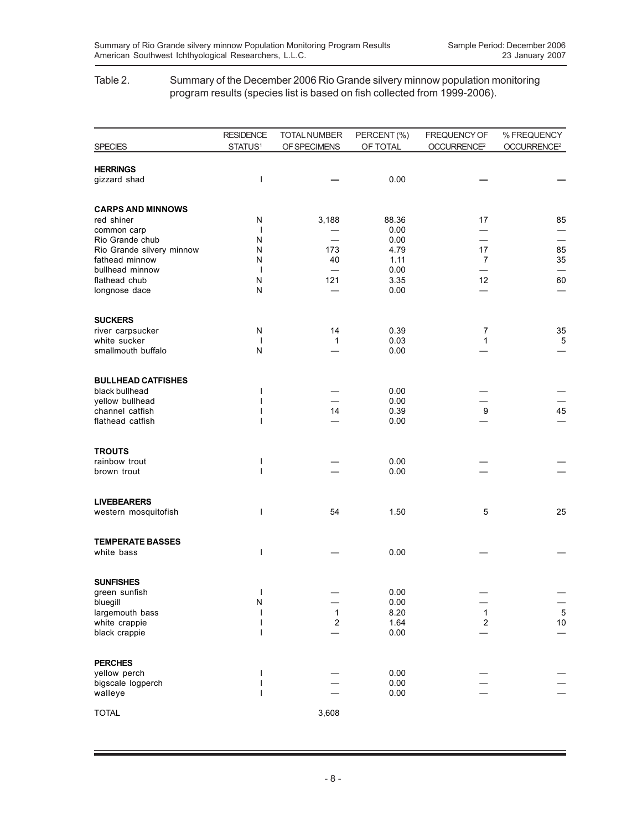### Table 2. Summary of the December 2006 Rio Grande silvery minnow population monitoring program results (species list is based on fish collected from 1999-2006).

| <b>SPECIES</b>                             | <b>RESIDENCE</b><br>STATUS <sup>1</sup> | <b>TOTAL NUMBER</b><br>OF SPECIMENS | PERCENT (%)<br>OF TOTAL | FREQUENCY OF<br>OCCURRENCE <sup>2</sup> | % FREQUENCY<br>OCCURRENCE <sup>2</sup> |
|--------------------------------------------|-----------------------------------------|-------------------------------------|-------------------------|-----------------------------------------|----------------------------------------|
|                                            |                                         |                                     |                         |                                         |                                        |
| <b>HERRINGS</b><br>gizzard shad            | ı                                       |                                     | 0.00                    |                                         |                                        |
| <b>CARPS AND MINNOWS</b>                   |                                         |                                     |                         |                                         |                                        |
| red shiner<br>common carp                  | N<br>$\overline{\phantom{a}}$           | 3,188                               | 88.36<br>0.00           | 17                                      | 85                                     |
| Rio Grande chub                            | N                                       |                                     | 0.00                    |                                         |                                        |
| Rio Grande silvery minnow                  | N                                       | 173                                 | 4.79                    | 17                                      | 85                                     |
| fathead minnow<br>bullhead minnow          | N<br>$\mathbf{I}$                       | 40                                  | 1.11<br>0.00            | 7                                       | 35                                     |
| flathead chub                              | N                                       | 121                                 | 3.35                    | 12                                      | 60                                     |
| longnose dace                              | N                                       |                                     | 0.00                    |                                         |                                        |
| <b>SUCKERS</b>                             |                                         |                                     |                         |                                         |                                        |
| river carpsucker<br>white sucker           | N<br>$\mathbf{I}$                       | 14<br>1                             | 0.39<br>0.03            | 7<br>1                                  | 35<br>$\mathbf 5$                      |
| smallmouth buffalo                         | N                                       |                                     | 0.00                    |                                         |                                        |
| <b>BULLHEAD CATFISHES</b>                  |                                         |                                     |                         |                                         |                                        |
| black bullhead                             | ı                                       |                                     | 0.00                    |                                         |                                        |
| yellow bullhead<br>channel catfish         |                                         | 14                                  | 0.00<br>0.39            | 9                                       | 45                                     |
| flathead catfish                           |                                         |                                     | 0.00                    |                                         |                                        |
| <b>TROUTS</b>                              |                                         |                                     |                         |                                         |                                        |
| rainbow trout<br>brown trout               | ı<br>ı                                  |                                     | 0.00<br>0.00            |                                         |                                        |
|                                            |                                         |                                     |                         |                                         |                                        |
| <b>LIVEBEARERS</b><br>western mosquitofish | ı                                       | 54                                  | 1.50                    | 5                                       | 25                                     |
|                                            |                                         |                                     |                         |                                         |                                        |
| <b>TEMPERATE BASSES</b><br>white bass      | ı                                       |                                     | 0.00                    |                                         |                                        |
|                                            |                                         |                                     |                         |                                         |                                        |
| <b>SUNFISHES</b>                           |                                         |                                     |                         |                                         |                                        |
| green sunfish                              | I<br>N                                  |                                     | 0.00<br>0.00            |                                         |                                        |
| bluegill<br>largemouth bass                |                                         | 1                                   | 8.20                    | $\mathbf{1}$                            | $\overline{5}$                         |
| white crappie                              | I                                       | 2                                   | 1.64                    | $\boldsymbol{2}$                        | $10\,$                                 |
| black crappie                              | ı                                       |                                     | 0.00                    |                                         |                                        |
| <b>PERCHES</b>                             |                                         |                                     |                         |                                         |                                        |
| yellow perch<br>bigscale logperch          |                                         |                                     | 0.00<br>0.00            |                                         |                                        |
| walleye                                    |                                         |                                     | 0.00                    |                                         |                                        |
| <b>TOTAL</b>                               |                                         | 3,608                               |                         |                                         |                                        |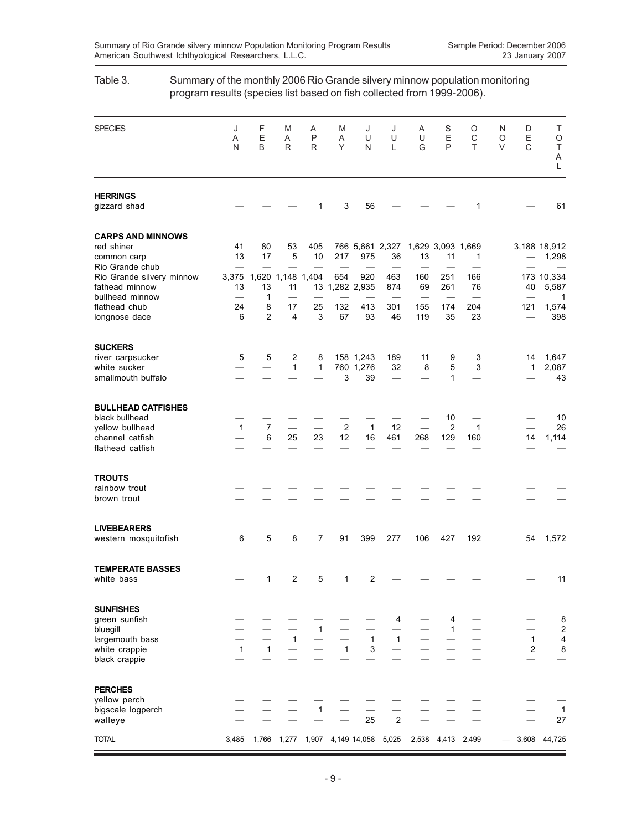# SPECIES J F M A M J J A S O N D T A EA P AUU UEC OE O NBRR YNL GPT VC T A L **HERRINGS** gizzard shad — — — 1 3 56 — — — 1 — 61 **CARPS AND MINNOWS** red shiner 41 80 53 405 766 5,661 2,327 1,629 3,093 1,669 3,188 18,912 common carp 13 17 5 10 217 975 36 13 11 1 — 1,298 Rio Grande chub Rio Grande silvery minnow 3,375 1,620 1,148 1,404 654 920 463 160 251 166 173 10,334 fathead minnow 13 13 13 11 13 1,282 2,935 874 69 261 76 40 5,587 bullhead minnow — 1 ————— ——— — 1 flathead chub 24 8 17 25 132 413 301 155 174 204 121 1,574<br>
longnose dace 6 2 4 3 67 93 46 119 35 23 - 398 longnose dace 6 2 4 3 67 93 46 119 35 **SUCKERS** river carpsucker 5 5 2 8 158 1,243 189 11 9 3 14 1,647 white sucker  $-$  1 1 760 1,276 32 8 5 3 1 2,087 smallmouth buffalo — — — — 3 39 — – 1 — – 43 **BULLHEAD CATFISHES** black bullhead  $10$   $10$ <br>yellow bullhead  $1$   $7$   $2$   $1$   $12$   $2$   $1$   $26$ yellow bullhead 1 7 - 2 1 12 - 2 1 - 26<br>
channel catfish - 6 25 23 12 16 461 268 129 160 14 1.114 channel catfish — 6 25 23 12 16 461 268 129 160 14 1,114 flathead catfish **TROUTS** rainbow trout — — — — — — — — — — brown trout — —————— ——— — — **LIVEBEARERS** western mosquitofish 6 5 8 7 91 399 277 106 427 192 54 1,572 **TEMPERATE BASSES** white bass — 1 2 5 1 2 — — — — — 11 **SUNFISHES** green sunfish — ————— 4 — 4— — 8 bluegill — — — 1 — — — — 1 — — 2 largemouth bass — — 1 — — 1 1 — — — 1 4 white crappie  $1 \t 1 \t - \t - \t 1 \t 3 \t$ black crappie – – – – – – – – – – – – **PERCHES** yellow perch — — — — — — — — — bigscale logperch — — — 1 — — — — — — — 1 walleye — — — — — 25 2 — — — — 27 TOTAL 3,485 1,766 1,277 1,907 4,149 14,058 5,025 2,538 4,413 2,499 — 3,608 44,725

### Table 3. Summary of the monthly 2006 Rio Grande silvery minnow population monitoring program results (species list based on fish collected from 1999-2006).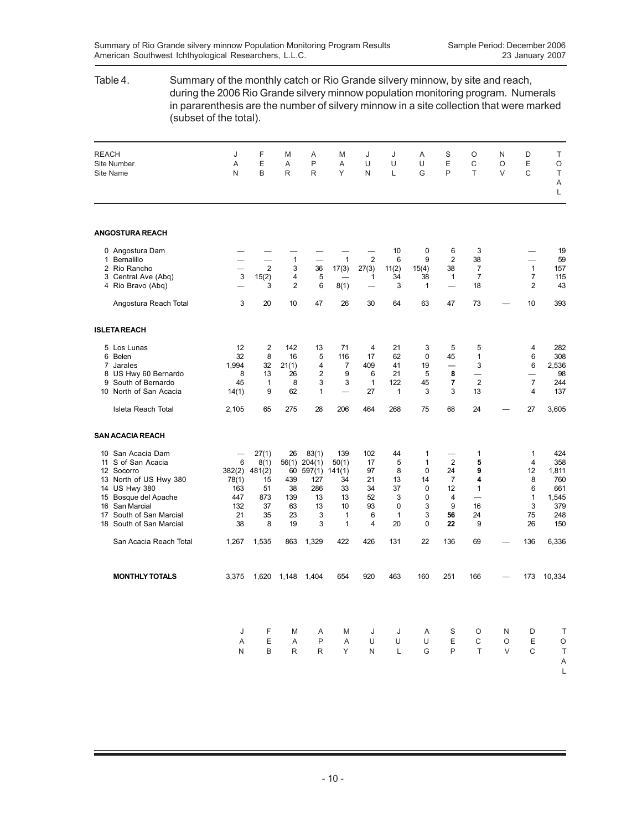## Table 4. Summary of the monthly catch or Rio Grande silvery minnow, by site and reach, during the 2006 Rio Grande silvery minnow population monitoring program. Numerals in pararenthesis are the number of silvery minnow in a site collection that were marked (subset of the total). REACH J F M A M J J A S O N D T Site Number A E A P A U U U E C O E O Site Name N B R R Y N L G P T V C T A L **ANGOSTURA REACH** 0 Angostura Dam — — — — — — 10 0 6 3 — 19 1 Bernalillo — — 1 — 1 2 6 9 2 38 — 59 2 Rio Rancho — 2 3 36 17(3) 27(3) 11(2) 15(4) 38 7 1 157 3 Central Ave (Abq) <br>4 Rio Bravo (Abq) <br>4 Rio Bravo (Abq) <br>3 2 6 8(1) <br>3 2 1 <br>3 2 43 4 Rio Bravo (Abq) — 3 2 6 8(1) — 3 1 — 18 2 43 Angostura Reach Total 3 20 10 47 26 30 64 63 47 73 — 10 393 **ISLETA REACH** 5 Los Lunas 12 2 142 13 71 4 21 3 5 5 4 282 6 Belen 32 8 16 5 116 17 62 0 45 1 6 308 7 Jarales 1,994 32 21(1) 4 7 409 41 19 **—** 3 6 2,536 1,994 32 21(1) 4 7 409 41 19 - 3 6 2,536<br>8 US Hwy 60 Bernardo 8 13 26 2 9 6 21 5 8 - - 98<br>9 South of Bernardo 45 1 8 3 3 1 122 45 7 2 7 244 9 South of Bernardo 45 1 8 3 3 1 122 45 **7** 2 7 244 10 North of San Acacia 14(1) 9 62 1 - 27 1 3 3 13 4 Isleta Reach Total 2,105 65 275 28 206 464 268 75 68 24 — 27 3,605 **SAN ACACIA REACH** 10 San Acacia Dam — 27(1) 26 83(1) 139 102 44 1 — 1 1 424 11 S of San Acacia 6 8(1) 56(1) 204(1) 50(1) 17 5 1 2 **5** 4 358 12 Socorro 382(2) 481(2) 60 597(1) 141(1) 97 8 0 24 **9** 12 1,811 13 North of US Hwy 380 78(1) 15 439 127 34 21 13 14 7 **4** 8 760 14 US Hwy 380 163 163 51 38 286 33 34 37 0 12 1<br>15 Bosque del Apache 1447 873 139 13 13 52 3 0 4 – 15 Bosque del Apache 447 873 139 13 13 52 3 0 4 — 1 1,545 16 San Marcial 132 37 63 13 10 93 0 3 9 16 3 379 17 South of San Marcial 21 35 23 3161 3 **56** 24 75 248 18 South of San Marcial **38** 8 19 3 1 San Acacia Reach Total 1,267 1,535 863 1,329 422 426 131 22 136 69 — 136 6,336 **MONTHLY TOTALS** 3,375 1,620 1,148 1,404 654 920 463 160 251 166 — 173 10,334 J FMAM J J ASO ND T A EAPAUU U EC OE O N BRRYN L GP T VC T A L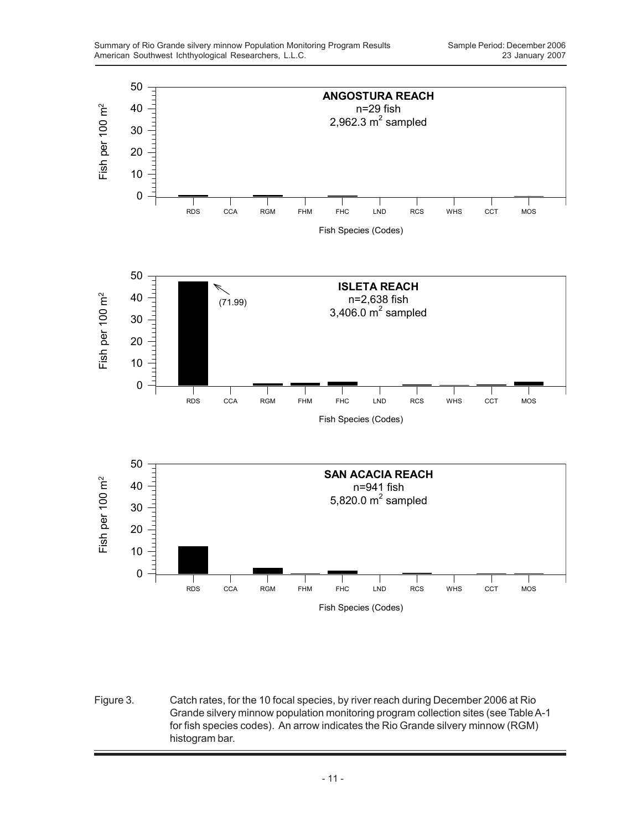

Figure 3. Catch rates, for the 10 focal species, by river reach during December 2006 at Rio Grande silvery minnow population monitoring program collection sites (see Table A-1 for fish species codes). An arrow indicates the Rio Grande silvery minnow (RGM) histogram bar.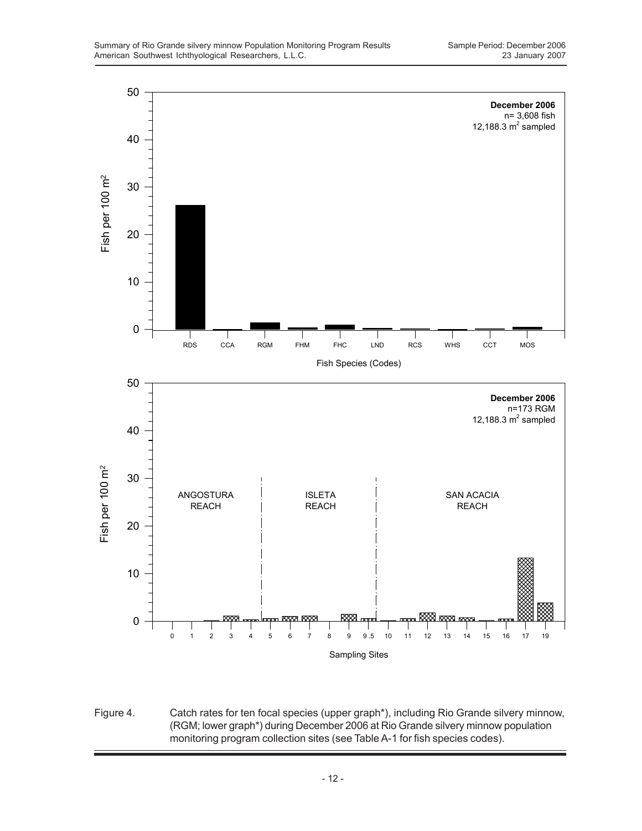

Figure 4. Catch rates for ten focal species (upper graph\*), including Rio Grande silvery minnow, (RGM; lower graph\*) during December 2006 at Rio Grande silvery minnow population monitoring program collection sites (see Table A-1 for fish species codes).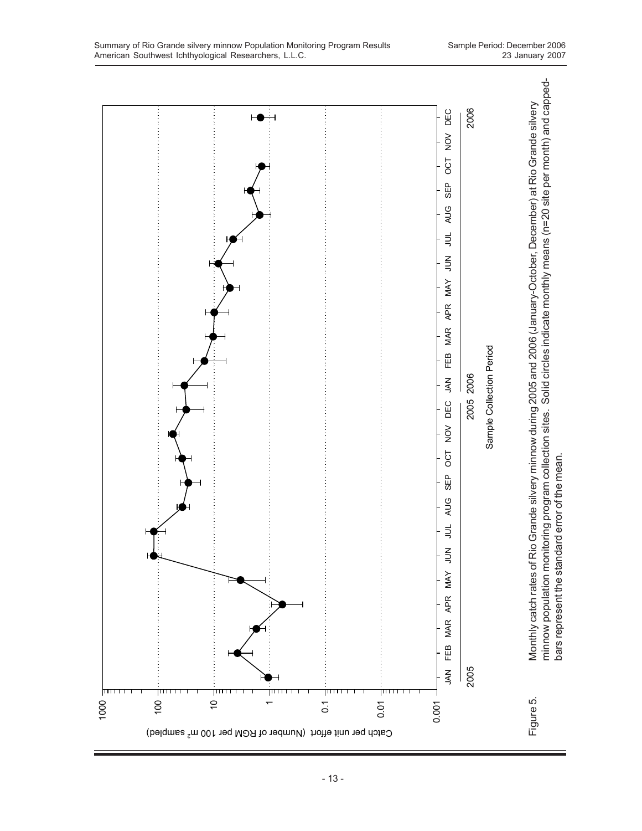

- 13 -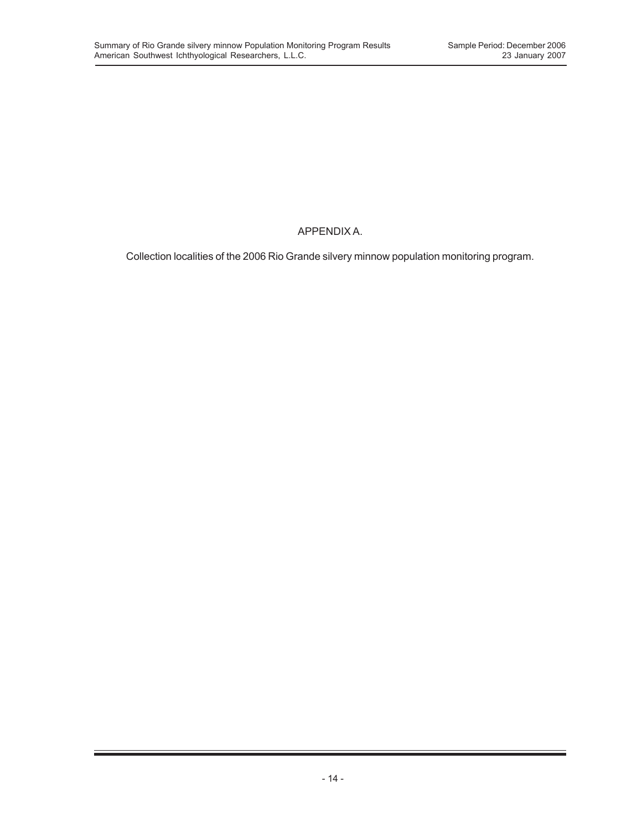## APPENDIX A.

Collection localities of the 2006 Rio Grande silvery minnow population monitoring program.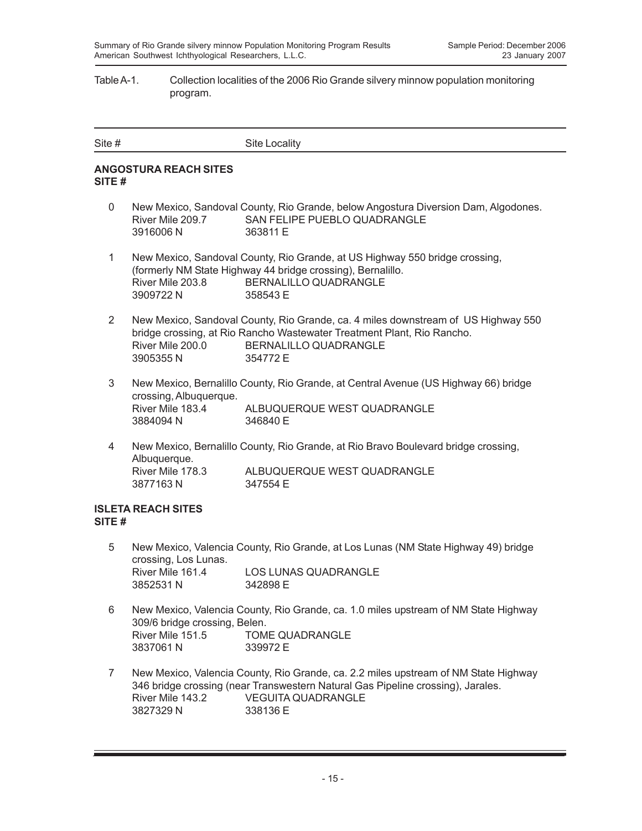### Table A-1. Collection localities of the 2006 Rio Grande silvery minnow population monitoring program.

| Site # | Site Locality |
|--------|---------------|
|        |               |

### **ANGOSTURA REACH SITES SITE #**

- 0 New Mexico, Sandoval County, Rio Grande, below Angostura Diversion Dam, Algodones. River Mile 209.7 SAN FELIPE PUEBLO QUADRANGLE 3916006 N 363811 E
- 1 New Mexico, Sandoval County, Rio Grande, at US Highway 550 bridge crossing, (formerly NM State Highway 44 bridge crossing), Bernalillo. River Mile 203.8 BERNALILLO QUADRANGLE 3909722 N 358543 E
- 2 New Mexico, Sandoval County, Rio Grande, ca. 4 miles downstream of US Highway 550 bridge crossing, at Rio Rancho Wastewater Treatment Plant, Rio Rancho. River Mile 200.0 BERNALILLO QUADRANGLE 3905355 N 354772 E
- 3 New Mexico, Bernalillo County, Rio Grande, at Central Avenue (US Highway 66) bridge crossing, Albuquerque. ALBUQUERQUE WEST QUADRANGLE 3884094 N 346840 E
- 4 New Mexico, Bernalillo County, Rio Grande, at Rio Bravo Boulevard bridge crossing, Albuquerque. River Mile 178.3 ALBUQUERQUE WEST QUADRANGLE 3877163 N 347554 E

### **ISLETA REACH SITES SITE #**

- 5 New Mexico, Valencia County, Rio Grande, at Los Lunas (NM State Highway 49) bridge crossing, Los Lunas. River Mile 161.4 LOS LUNAS QUADRANGLE 3852531 N 342898 E
- 6 New Mexico, Valencia County, Rio Grande, ca. 1.0 miles upstream of NM State Highway 309/6 bridge crossing, Belen. River Mile 151.5 TOME QUADRANGLE 3837061 N 339972 E
- 7 New Mexico, Valencia County, Rio Grande, ca. 2.2 miles upstream of NM State Highway 346 bridge crossing (near Transwestern Natural Gas Pipeline crossing), Jarales. River Mile 143.2 VEGUITA QUADRANGLE 3827329 N 338136 E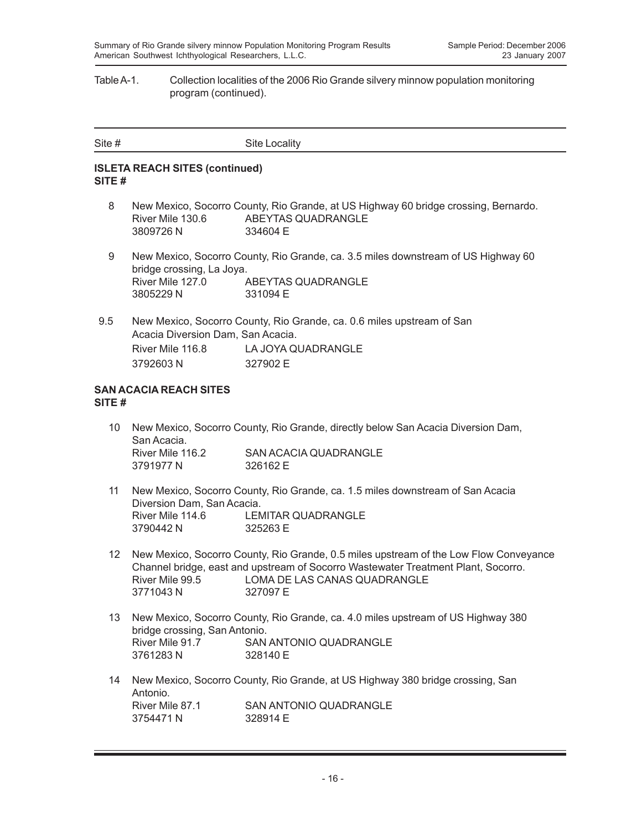#### Table A-1. Collection localities of the 2006 Rio Grande silvery minnow population monitoring program (continued).

| Site # | Site Locality |
|--------|---------------|
|        |               |

### **ISLETA REACH SITES (continued) SITE #**

- 8 New Mexico, Socorro County, Rio Grande, at US Highway 60 bridge crossing, Bernardo. River Mile 130.6 ABEYTAS QUADRANGLE 3809726 N 334604 E
- 9 New Mexico, Socorro County, Rio Grande, ca. 3.5 miles downstream of US Highway 60 bridge crossing, La Joya. River Mile 127.0 ABEYTAS QUADRANGLE 3805229 N 331094 E
- 9.5 New Mexico, Socorro County, Rio Grande, ca. 0.6 miles upstream of San Acacia Diversion Dam, San Acacia. River Mile 116.8 LA JOYA QUADRANGLE 3792603 N 327902 E

#### **SAN ACACIA REACH SITES SITE #**

- 10 New Mexico, Socorro County, Rio Grande, directly below San Acacia Diversion Dam, San Acacia. River Mile 116.2 SAN ACACIA QUADRANGLE 3791977 N 326162 E
- 11 New Mexico, Socorro County, Rio Grande, ca. 1.5 miles downstream of San Acacia Diversion Dam, San Acacia. River Mile 114.6 LEMITAR QUADRANGLE 3790442 N 325263 E
- 12 New Mexico, Socorro County, Rio Grande, 0.5 miles upstream of the Low Flow Conveyance Channel bridge, east and upstream of Socorro Wastewater Treatment Plant, Socorro. River Mile 99.5 LOMA DE LAS CANAS QUADRANGLE 3771043 N 327097 E
- 13 New Mexico, Socorro County, Rio Grande, ca. 4.0 miles upstream of US Highway 380 bridge crossing, San Antonio. River Mile 91.7 SAN ANTONIO QUADRANGLE 3761283 N 328140 E
- 14 New Mexico, Socorro County, Rio Grande, at US Highway 380 bridge crossing, San Antonio.<br>River Mile 87.1 SAN ANTONIO QUADRANGLE 3754471 N 328914 F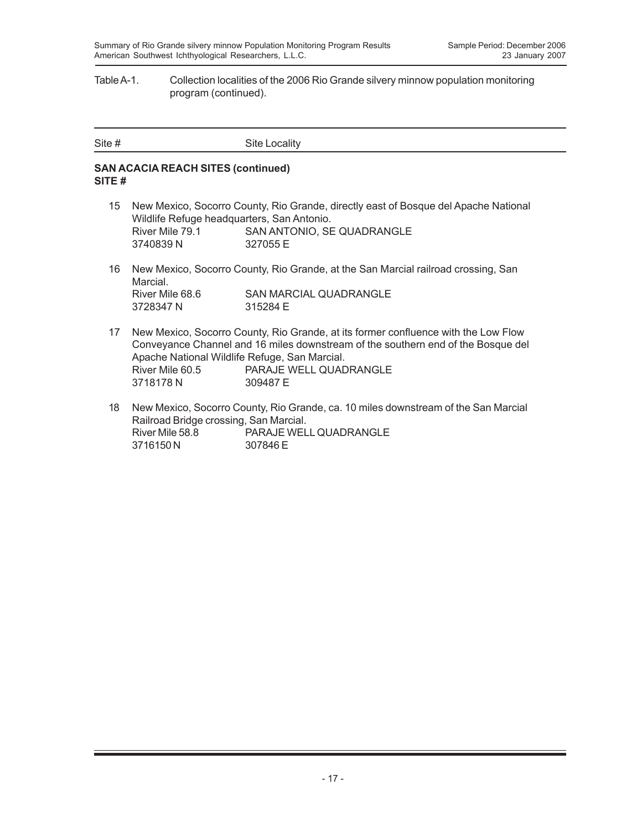#### Table A-1. Collection localities of the 2006 Rio Grande silvery minnow population monitoring program (continued).

| Site # | Site Locality |
|--------|---------------|
|        |               |

### **SAN ACACIA REACH SITES (continued) SITE #**

- 15 New Mexico, Socorro County, Rio Grande, directly east of Bosque del Apache National Wildlife Refuge headquarters, San Antonio. River Mile 79.1 SAN ANTONIO, SE QUADRANGLE 3740839 N 327055 E
- 16 New Mexico, Socorro County, Rio Grande, at the San Marcial railroad crossing, San Marcial. River Mile 68.6 SAN MARCIAL QUADRANGLE 3728347 N 315284 E
- 17 New Mexico, Socorro County, Rio Grande, at its former confluence with the Low Flow Conveyance Channel and 16 miles downstream of the southern end of the Bosque del Apache National Wildlife Refuge, San Marcial. River Mile 60.5 PARAJE WELL QUADRANGLE 3718178 N 309487 E
- 18 New Mexico, Socorro County, Rio Grande, ca. 10 miles downstream of the San Marcial Railroad Bridge crossing, San Marcial. River Mile 58.8 PARAJE WELL QUADRANGLE 3716150 N 307846 E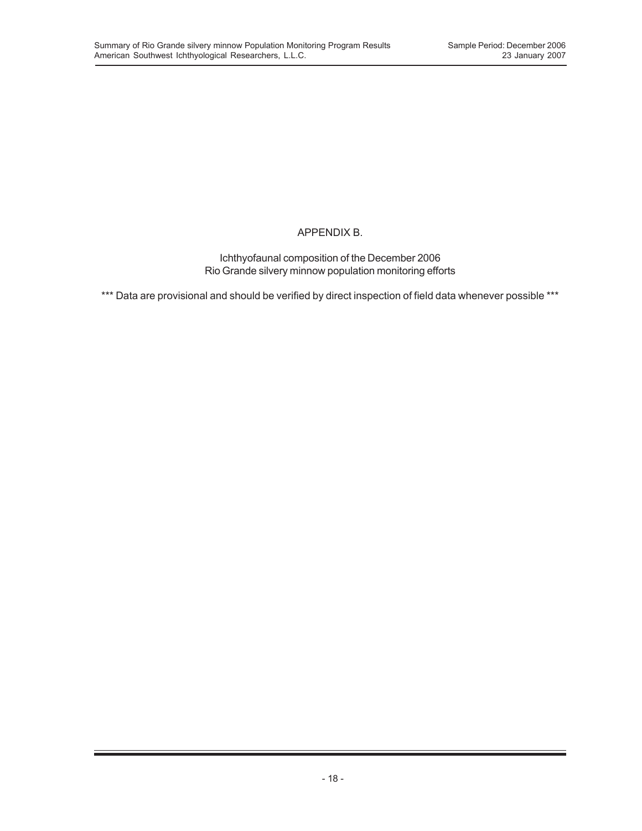## APPENDIX B.

Ichthyofaunal composition of the December 2006 Rio Grande silvery minnow population monitoring efforts

\*\*\* Data are provisional and should be verified by direct inspection of field data whenever possible \*\*\*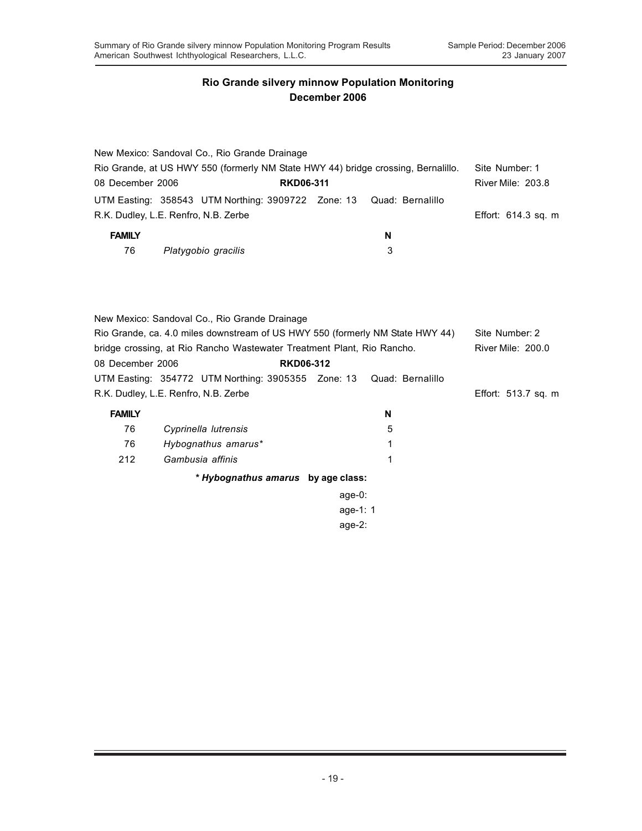|                  | New Mexico: Sandoval Co., Rio Grande Drainage                                                                                  |                  |                  |                     |
|------------------|--------------------------------------------------------------------------------------------------------------------------------|------------------|------------------|---------------------|
|                  | Rio Grande, at US HWY 550 (formerly NM State HWY 44) bridge crossing, Bernalillo.                                              |                  |                  | Site Number: 1      |
| 08 December 2006 |                                                                                                                                | <b>RKD06-311</b> |                  | River Mile: 203.8   |
|                  | UTM Easting: 358543 UTM Northing: 3909722 Zone: 13                                                                             |                  | Quad: Bernalillo |                     |
|                  | R.K. Dudley, L.E. Renfro, N.B. Zerbe                                                                                           |                  |                  | Effort: 614.3 sq. m |
| <b>FAMILY</b>    |                                                                                                                                |                  | N                |                     |
| 76               | Platygobio gracilis                                                                                                            |                  | 3                |                     |
|                  |                                                                                                                                |                  |                  |                     |
|                  | New Mexico: Sandoval Co., Rio Grande Drainage<br>Rio Grande, ca. 4.0 miles downstream of US HWY 550 (formerly NM State HWY 44) |                  |                  | Site Number: 2      |
|                  |                                                                                                                                |                  |                  |                     |
| 08 December 2006 | bridge crossing, at Rio Rancho Wastewater Treatment Plant, Rio Rancho.                                                         | <b>RKD06-312</b> |                  | River Mile: 200.0   |
|                  |                                                                                                                                |                  |                  |                     |
|                  | UTM Easting: 354772 UTM Northing: 3905355 Zone: 13                                                                             |                  | Quad: Bernalillo |                     |
|                  | R.K. Dudley, L.E. Renfro, N.B. Zerbe                                                                                           |                  |                  | Effort: 513.7 sq. m |
| <b>FAMILY</b>    |                                                                                                                                |                  | N                |                     |
| 76               | Cyprinella lutrensis                                                                                                           |                  | 5                |                     |
| 76               | Hybognathus amarus*                                                                                                            |                  | 1                |                     |
| 212              | Gambusia affinis                                                                                                               |                  | 1                |                     |
|                  | * Hybognathus amarus by age class:                                                                                             |                  |                  |                     |
|                  |                                                                                                                                | $age-0$ :        |                  |                     |
|                  |                                                                                                                                | age-1: 1         |                  |                     |
|                  |                                                                                                                                | age- $2:$        |                  |                     |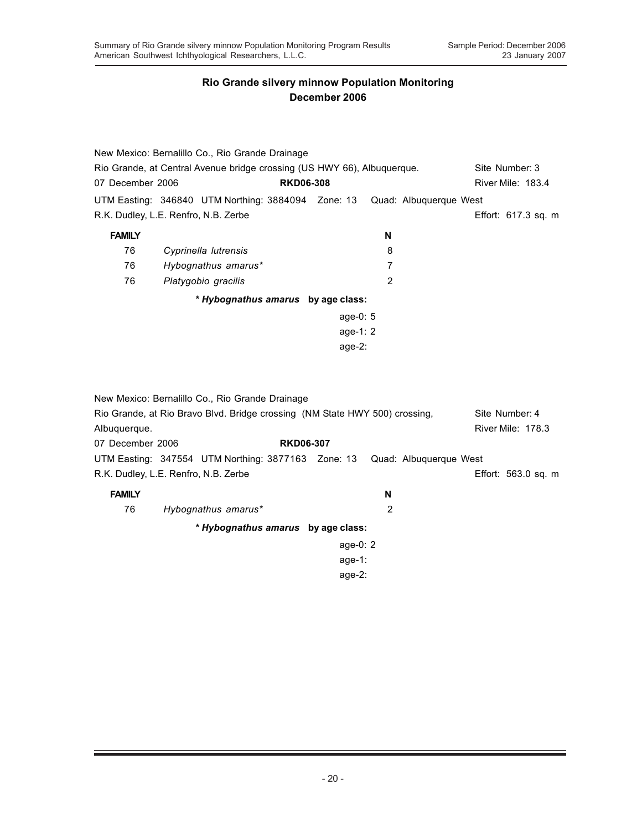|                                      | New Mexico: Bernalillo Co., Rio Grande Drainage                             |                  |           |                |                        |                     |
|--------------------------------------|-----------------------------------------------------------------------------|------------------|-----------|----------------|------------------------|---------------------|
|                                      | Rio Grande, at Central Avenue bridge crossing (US HWY 66), Albuquerque.     |                  |           |                |                        | Site Number: 3      |
| 07 December 2006                     |                                                                             | <b>RKD06-308</b> |           |                |                        | River Mile: 183.4   |
|                                      | UTM Easting: 346840 UTM Northing: 3884094 Zone: 13                          |                  |           |                | Quad: Albuquerque West |                     |
| R.K. Dudley, L.E. Renfro, N.B. Zerbe |                                                                             |                  |           |                |                        | Effort: 617.3 sq. m |
| <b>FAMILY</b>                        |                                                                             |                  |           | N              |                        |                     |
| 76                                   | Cyprinella lutrensis                                                        |                  |           | 8              |                        |                     |
| 76                                   | Hybognathus amarus*                                                         |                  |           | $\overline{7}$ |                        |                     |
| 76                                   | Platygobio gracilis                                                         |                  |           | 2              |                        |                     |
|                                      | * Hybognathus amarus by age class:                                          |                  |           |                |                        |                     |
|                                      |                                                                             |                  | age-0: 5  |                |                        |                     |
|                                      |                                                                             |                  | age-1: 2  |                |                        |                     |
|                                      |                                                                             |                  | age-2:    |                |                        |                     |
|                                      | New Mexico: Bernalillo Co., Rio Grande Drainage                             |                  |           |                |                        |                     |
|                                      | Rio Grande, at Rio Bravo Blvd. Bridge crossing (NM State HWY 500) crossing, |                  |           |                |                        | Site Number: 4      |
| Albuquerque.                         |                                                                             |                  |           |                |                        | River Mile: 178.3   |
| 07 December 2006                     |                                                                             | <b>RKD06-307</b> |           |                |                        |                     |
|                                      | UTM Easting: 347554 UTM Northing: 3877163 Zone: 13                          |                  |           |                | Quad: Albuquerque West |                     |
| R.K. Dudley, L.E. Renfro, N.B. Zerbe |                                                                             |                  |           |                |                        | Effort: 563.0 sq. m |
| <b>FAMILY</b>                        |                                                                             |                  |           | N              |                        |                     |
| 76                                   | Hybognathus amarus*                                                         |                  |           | $\overline{2}$ |                        |                     |
|                                      | * Hybognathus amarus by age class:                                          |                  |           |                |                        |                     |
|                                      |                                                                             |                  | age-0: 2  |                |                        |                     |
|                                      |                                                                             |                  | $age-1$ : |                |                        |                     |
|                                      |                                                                             |                  | age- $2:$ |                |                        |                     |
|                                      |                                                                             |                  |           |                |                        |                     |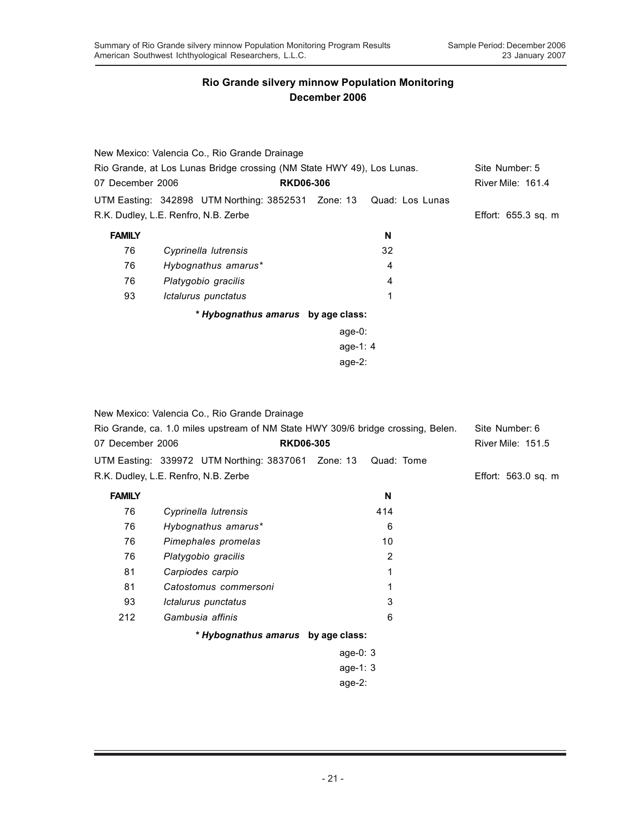|                  | New Mexico: Valencia Co., Rio Grande Drainage                          |                  |    |                          |
|------------------|------------------------------------------------------------------------|------------------|----|--------------------------|
|                  | Rio Grande, at Los Lunas Bridge crossing (NM State HWY 49), Los Lunas. |                  |    | Site Number: 5           |
| 07 December 2006 |                                                                        | <b>RKD06-306</b> |    | <b>River Mile: 161.4</b> |
|                  | UTM Easting: 342898 UTM Northing: 3852531 Zone: 13 Quad: Los Lunas     |                  |    |                          |
|                  | R.K. Dudley, L.E. Renfro, N.B. Zerbe                                   |                  |    | Effort: $655.3$ sq. m    |
| <b>FAMILY</b>    |                                                                        |                  | N  |                          |
| 76               | Cyprinella lutrensis                                                   |                  | 32 |                          |
| 76               | Hybognathus amarus*                                                    |                  | 4  |                          |
| 76               | Platygobio gracilis                                                    |                  | 4  |                          |
| 93               | Ictalurus punctatus                                                    |                  | 1  |                          |
|                  | * Hybognathus amarus by age class:                                     |                  |    |                          |
|                  |                                                                        | age-0:           |    |                          |
|                  |                                                                        | age-1: $4$       |    |                          |
|                  |                                                                        | age- $2:$        |    |                          |

New Mexico: Valencia Co., Rio Grande Drainage Rio Grande, ca. 1.0 miles upstream of NM State HWY 309/6 bridge crossing, Belen. Site Number: 6 07 December 2006 **RKD06-305** River Mile: 151.5 UTM Easting: 339972 UTM Northing: 3837061 Zone: 13 Quad: Tome R.K. Dudley, L.E. Renfro, N.B. Zerbe Effort: 563.0 sq. m **FAMILY N** 76 *Cyprinella lutrensis* 414 76 *Hybognathus amarus\** 6 76 *Pimephales promelas* 10 76 *Platygobio gracilis* 2 81 *Carpiodes carpio* 1 81 *Catostomus commersoni* 1 93 *Ictalurus punctatus* 3 212 *Gambusia affinis* 6 *\* Hybognathus amarus* **by age class:** age-0: 3 age-1: 3 age-2: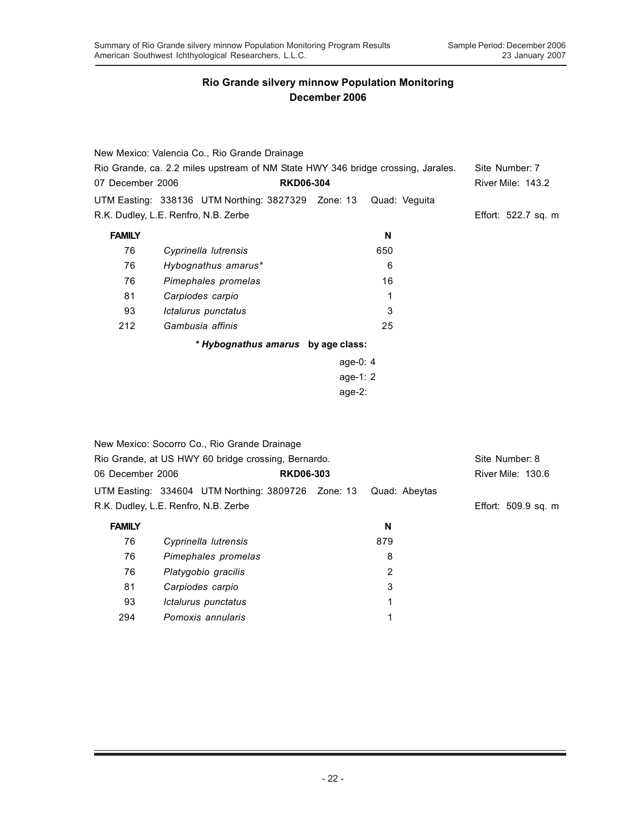|                  | New Mexico: Valencia Co., Rio Grande Drainage                                    |                  |               |                          |
|------------------|----------------------------------------------------------------------------------|------------------|---------------|--------------------------|
|                  | Rio Grande, ca. 2.2 miles upstream of NM State HWY 346 bridge crossing, Jarales. |                  |               | Site Number: 7           |
| 07 December 2006 |                                                                                  | <b>RKD06-304</b> |               | <b>River Mile: 143.2</b> |
|                  | UTM Easting: 338136 UTM Northing: 3827329 Zone: 13                               |                  | Quad: Veguita |                          |
|                  | R.K. Dudley, L.E. Renfro, N.B. Zerbe                                             |                  |               | Effort: 522.7 sq. m      |
| <b>FAMILY</b>    |                                                                                  |                  | N             |                          |
| 76               | Cyprinella lutrensis                                                             |                  | 650           |                          |
| 76               | Hybognathus amarus*                                                              |                  | 6             |                          |
| 76               | Pimephales promelas                                                              |                  | 16            |                          |
| 81               | Carpiodes carpio                                                                 |                  |               |                          |
| 93               | Ictalurus punctatus                                                              |                  | 3             |                          |
| 212              | Gambusia affinis                                                                 |                  | 25            |                          |
|                  | * Hybognathus amarus by age class:                                               |                  |               |                          |
|                  |                                                                                  | age-0: $4$       |               |                          |
|                  |                                                                                  | age-1: $2$       |               |                          |

age-2:

|                  | New Mexico: Socorro Co., Rio Grande Drainage        |                  |               |                          |
|------------------|-----------------------------------------------------|------------------|---------------|--------------------------|
|                  | Rio Grande, at US HWY 60 bridge crossing, Bernardo. |                  |               | Site Number: 8           |
| 06 December 2006 |                                                     | <b>RKD06-303</b> |               | <b>River Mile: 130.6</b> |
|                  | UTM Easting: 334604 UTM Northing: 3809726 Zone: 13  |                  | Quad: Abeytas |                          |
|                  | R.K. Dudley, L.E. Renfro, N.B. Zerbe                |                  |               | Effort: 509.9 sq. m      |
| <b>FAMILY</b>    |                                                     |                  | N             |                          |
| 76               | Cyprinella lutrensis                                |                  | 879           |                          |
| 76               | Pimephales promelas                                 |                  | 8             |                          |
| 76               | Platygobio gracilis                                 |                  | 2             |                          |
| 81               | Carpiodes carpio                                    |                  | 3             |                          |
| 93               | Ictalurus punctatus                                 |                  | 1             |                          |
| 294              | Pomoxis annularis                                   |                  | 1             |                          |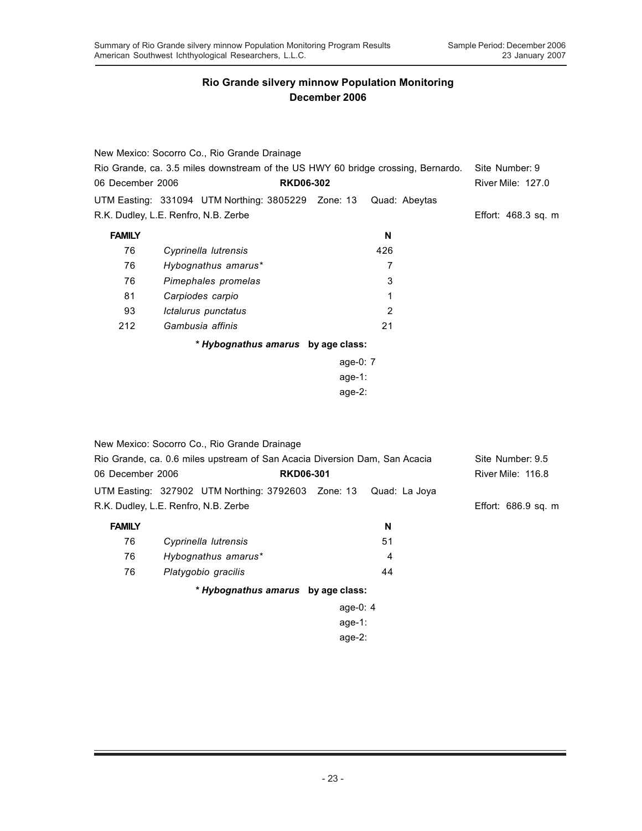|                                                                                  | New Mexico: Socorro Co., Rio Grande Drainage                               |                  |                |                     |
|----------------------------------------------------------------------------------|----------------------------------------------------------------------------|------------------|----------------|---------------------|
| Rio Grande, ca. 3.5 miles downstream of the US HWY 60 bridge crossing, Bernardo. |                                                                            |                  |                | Site Number: 9      |
| 06 December 2006                                                                 |                                                                            | <b>RKD06-302</b> |                | River Mile: 127.0   |
|                                                                                  | UTM Easting: 331094 UTM Northing: 3805229 Zone: 13                         |                  | Quad: Abeytas  |                     |
|                                                                                  | R.K. Dudley, L.E. Renfro, N.B. Zerbe                                       |                  |                | Effort: 468.3 sq. m |
| <b>FAMILY</b>                                                                    |                                                                            |                  | N              |                     |
| 76                                                                               | Cyprinella lutrensis                                                       |                  | 426            |                     |
| 76                                                                               | Hybognathus amarus*                                                        |                  | 7              |                     |
| 76                                                                               | Pimephales promelas                                                        |                  | 3              |                     |
| 81                                                                               | Carpiodes carpio                                                           |                  | 1              |                     |
| 93                                                                               | Ictalurus punctatus                                                        |                  | $\overline{2}$ |                     |
| 212                                                                              | Gambusia affinis                                                           |                  | 21             |                     |
|                                                                                  | * Hybognathus amarus by age class:                                         |                  |                |                     |
|                                                                                  |                                                                            | age-0: 7         |                |                     |
|                                                                                  |                                                                            | $age-1$ :        |                |                     |
|                                                                                  |                                                                            | age-2:           |                |                     |
|                                                                                  |                                                                            |                  |                |                     |
|                                                                                  | New Mexico: Socorro Co., Rio Grande Drainage                               |                  |                |                     |
|                                                                                  | Rio Grande, ca. 0.6 miles upstream of San Acacia Diversion Dam, San Acacia |                  |                | Site Number: 9.5    |
| 06 December 2006                                                                 |                                                                            | <b>RKD06-301</b> |                | River Mile: 116.8   |
|                                                                                  | UTM Easting: 327902 UTM Northing: 3792603 Zone: 13                         |                  | Quad: La Joya  |                     |
|                                                                                  | R.K. Dudley, L.E. Renfro, N.B. Zerbe                                       |                  |                | Effort: 686.9 sq. m |
| <b>FAMILY</b>                                                                    |                                                                            |                  | N              |                     |
| 76                                                                               | Cyprinella lutrensis                                                       |                  | 51             |                     |
| 76                                                                               | Hybognathus amarus*                                                        |                  | 4              |                     |
| 76                                                                               | Platygobio gracilis                                                        |                  | 44             |                     |
|                                                                                  | * Hybognathus amarus by age class:                                         |                  |                |                     |

age-0: 4 age-1:

age-2: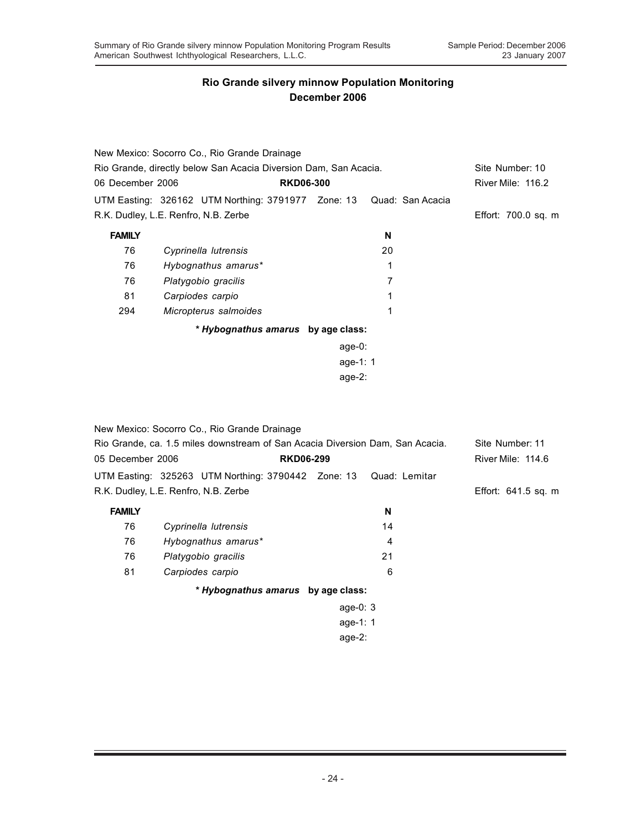|                                                                  | New Mexico: Socorro Co., Rio Grande Drainage                              |            |                 |                          |
|------------------------------------------------------------------|---------------------------------------------------------------------------|------------|-----------------|--------------------------|
| Rio Grande, directly below San Acacia Diversion Dam, San Acacia. |                                                                           |            | Site Number: 10 |                          |
| 06 December 2006                                                 | <b>RKD06-300</b>                                                          |            |                 | <b>River Mile: 116.2</b> |
|                                                                  | UTM Easting: 326162 UTM Northing: 3791977    Zone: 13    Quad: San Acacia |            |                 |                          |
| R.K. Dudley, L.E. Renfro, N.B. Zerbe                             |                                                                           |            |                 | Effort: 700.0 sq. m      |
| <b>FAMILY</b>                                                    |                                                                           |            | N               |                          |
| 76                                                               | Cyprinella lutrensis                                                      |            | 20              |                          |
| 76                                                               | Hybognathus amarus*                                                       |            |                 |                          |
| 76                                                               | Platygobio gracilis                                                       |            | 7               |                          |
| 81                                                               | Carpiodes carpio                                                          |            |                 |                          |
| 294                                                              | Micropterus salmoides                                                     |            |                 |                          |
|                                                                  | * Hybognathus amarus by age class:                                        |            |                 |                          |
|                                                                  |                                                                           | age-0:     |                 |                          |
|                                                                  |                                                                           | age-1: $1$ |                 |                          |
|                                                                  |                                                                           | age- $2:$  |                 |                          |

|                                                                               | New Mexico: Socorro Co., Rio Grande Drainage |                  |    |                       |
|-------------------------------------------------------------------------------|----------------------------------------------|------------------|----|-----------------------|
| Rio Grande, ca. 1.5 miles downstream of San Acacia Diversion Dam, San Acacia. | Site Number: 11                              |                  |    |                       |
| 05 December 2006                                                              |                                              | <b>RKD06-299</b> |    | River Mile: 114.6     |
|                                                                               |                                              |                  |    |                       |
|                                                                               | R.K. Dudley, L.E. Renfro, N.B. Zerbe         |                  |    | Effort: $641.5$ sq. m |
| <b>FAMILY</b>                                                                 |                                              |                  | N  |                       |
| 76                                                                            | Cyprinella lutrensis                         |                  | 14 |                       |
| 76                                                                            | Hybognathus amarus*                          |                  | 4  |                       |
| 76                                                                            | Platygobio gracilis                          |                  | 21 |                       |
| 81                                                                            | Carpiodes carpio                             |                  | 6  |                       |
|                                                                               | * Hybognathus amarus by age class:           |                  |    |                       |
|                                                                               |                                              | age-0: $3$       |    |                       |
|                                                                               |                                              | age-1: $1$       |    |                       |
|                                                                               |                                              | age- $2:$        |    |                       |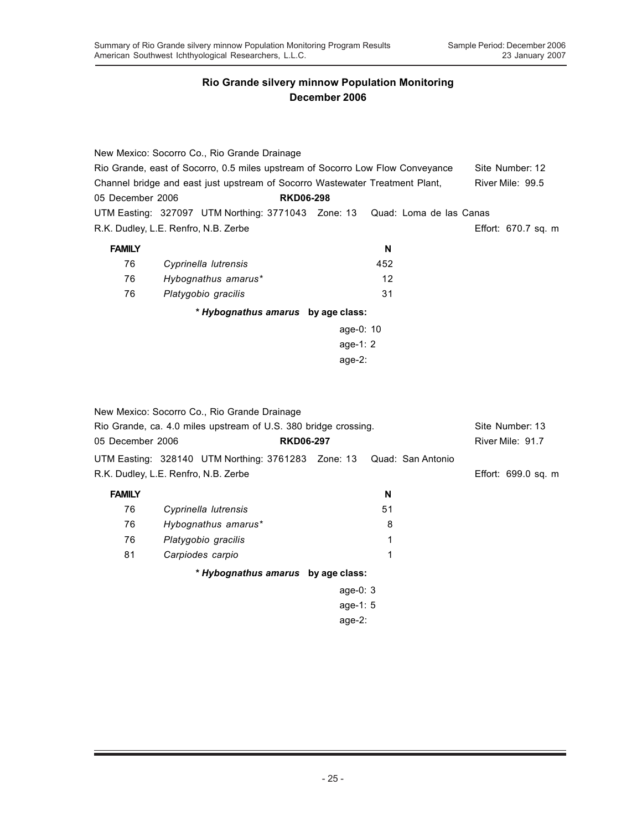|                                                                                | New Mexico: Socorro Co., Rio Grande Drainage                               |                         |                  |                     |  |
|--------------------------------------------------------------------------------|----------------------------------------------------------------------------|-------------------------|------------------|---------------------|--|
| Rio Grande, east of Socorro, 0.5 miles upstream of Socorro Low Flow Conveyance | Site Number: 12                                                            |                         |                  |                     |  |
| Channel bridge and east just upstream of Socorro Wastewater Treatment Plant,   |                                                                            |                         | River Mile: 99.5 |                     |  |
| 05 December 2006<br><b>RKD06-298</b>                                           |                                                                            |                         |                  |                     |  |
|                                                                                | UTM Easting: 327097 UTM Northing: 3771043 Zone: 13 Quad: Loma de las Canas |                         |                  |                     |  |
|                                                                                | R.K. Dudley, L.E. Renfro, N.B. Zerbe                                       |                         |                  | Effort: 670.7 sq. m |  |
| <b>FAMILY</b>                                                                  |                                                                            | N                       |                  |                     |  |
| 76                                                                             | Cyprinella lutrensis                                                       | 452                     |                  |                     |  |
| 76                                                                             | Hybognathus amarus*                                                        | 12                      |                  |                     |  |
| 76                                                                             | Platygobio gracilis                                                        | 31                      |                  |                     |  |
|                                                                                | * Hybognathus amarus by age class:                                         |                         |                  |                     |  |
|                                                                                |                                                                            | age-0: $10$             |                  |                     |  |
|                                                                                |                                                                            | age-1: $2 \overline{ }$ |                  |                     |  |
| age- $2:$                                                                      |                                                                            |                         |                  |                     |  |
|                                                                                |                                                                            |                         |                  |                     |  |

|                                                                 | New Mexico: Socorro Co., Rio Grande Drainage                         |                  |                 |    |  |                     |
|-----------------------------------------------------------------|----------------------------------------------------------------------|------------------|-----------------|----|--|---------------------|
| Rio Grande, ca. 4.0 miles upstream of U.S. 380 bridge crossing. |                                                                      |                  | Site Number: 13 |    |  |                     |
| 05 December 2006                                                |                                                                      | <b>RKD06-297</b> |                 |    |  | River Mile: 91.7    |
|                                                                 | UTM Easting: 328140 UTM Northing: 3761283 Zone: 13 Quad: San Antonio |                  |                 |    |  |                     |
|                                                                 | R.K. Dudley, L.E. Renfro, N.B. Zerbe                                 |                  |                 |    |  | Effort: 699.0 sq. m |
| <b>FAMILY</b>                                                   |                                                                      |                  |                 | N  |  |                     |
| 76                                                              | Cyprinella lutrensis                                                 |                  |                 | 51 |  |                     |
| 76                                                              | Hybognathus amarus*                                                  |                  |                 | 8  |  |                     |
| 76                                                              | Platygobio gracilis                                                  |                  |                 |    |  |                     |
| 81                                                              | Carpiodes carpio                                                     |                  |                 | 1  |  |                     |
|                                                                 | * Hybognathus amarus by age class:                                   |                  |                 |    |  |                     |
|                                                                 |                                                                      |                  | age-0: $3$      |    |  |                     |
|                                                                 |                                                                      |                  | age-1: $5$      |    |  |                     |
|                                                                 |                                                                      |                  | age- $2:$       |    |  |                     |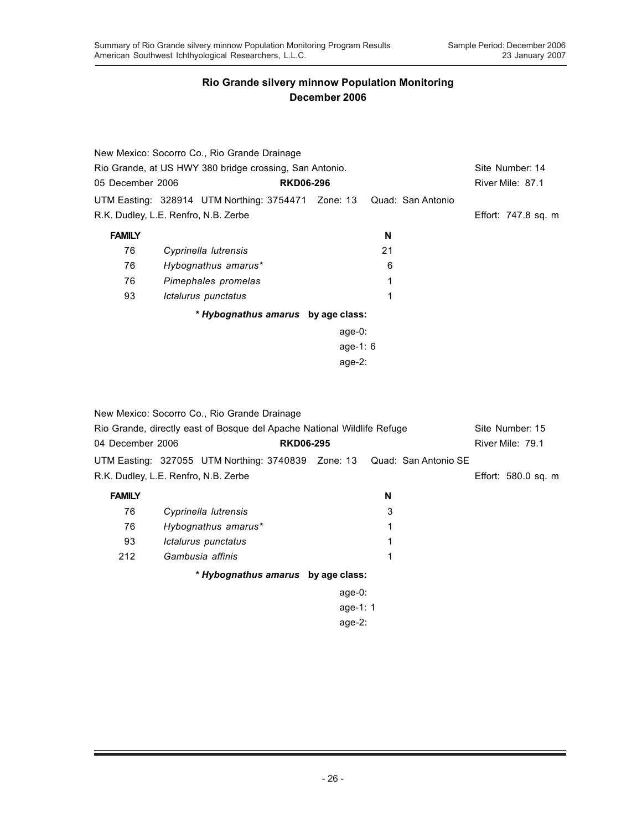|                  | New Mexico: Socorro Co., Rio Grande Drainage            |                  |                   |                     |
|------------------|---------------------------------------------------------|------------------|-------------------|---------------------|
|                  | Rio Grande, at US HWY 380 bridge crossing, San Antonio. |                  |                   | Site Number: 14     |
| 05 December 2006 |                                                         | <b>RKD06-296</b> |                   | River Mile: 87.1    |
|                  | UTM Easting: 328914 UTM Northing: 3754471 Zone: 13      |                  | Quad: San Antonio |                     |
|                  | R.K. Dudley, L.E. Renfro, N.B. Zerbe                    |                  |                   | Effort: 747.8 sq. m |
| <b>FAMILY</b>    |                                                         |                  | N                 |                     |
| 76               | Cyprinella lutrensis                                    |                  | 21                |                     |
| 76               | Hybognathus amarus*                                     |                  | 6                 |                     |
| 76               | Pimephales promelas                                     |                  |                   |                     |
| 93               | Ictalurus punctatus                                     |                  | 1                 |                     |
|                  | * Hybognathus amarus by age class:                      |                  |                   |                     |
|                  |                                                         | age-0:           |                   |                     |
|                  |                                                         | age-1: $6$       |                   |                     |
|                  |                                                         | age-2:           |                   |                     |

|                                                                         | New Mexico: Socorro Co., Rio Grande Drainage                            |                  |   |                 |                     |
|-------------------------------------------------------------------------|-------------------------------------------------------------------------|------------------|---|-----------------|---------------------|
| Rio Grande, directly east of Bosque del Apache National Wildlife Refuge |                                                                         |                  |   | Site Number: 15 |                     |
| 04 December 2006                                                        |                                                                         | <b>RKD06-295</b> |   |                 | River Mile: 79.1    |
|                                                                         | UTM Easting: 327055 UTM Northing: 3740839 Zone: 13 Quad: San Antonio SE |                  |   |                 |                     |
|                                                                         | R.K. Dudley, L.E. Renfro, N.B. Zerbe                                    |                  |   |                 | Effort: 580.0 sq. m |
| <b>FAMILY</b>                                                           |                                                                         |                  | N |                 |                     |
| 76                                                                      | Cyprinella lutrensis                                                    |                  | 3 |                 |                     |
| 76                                                                      | Hybognathus amarus*                                                     |                  |   |                 |                     |
| 93                                                                      | Ictalurus punctatus                                                     |                  |   |                 |                     |
| 212                                                                     | Gambusia affinis                                                        |                  | 1 |                 |                     |
|                                                                         | * Hybognathus amarus by age class:                                      |                  |   |                 |                     |
|                                                                         |                                                                         | age-0:           |   |                 |                     |
|                                                                         |                                                                         | age-1: $1$       |   |                 |                     |
|                                                                         |                                                                         | age- $2:$        |   |                 |                     |
|                                                                         |                                                                         |                  |   |                 |                     |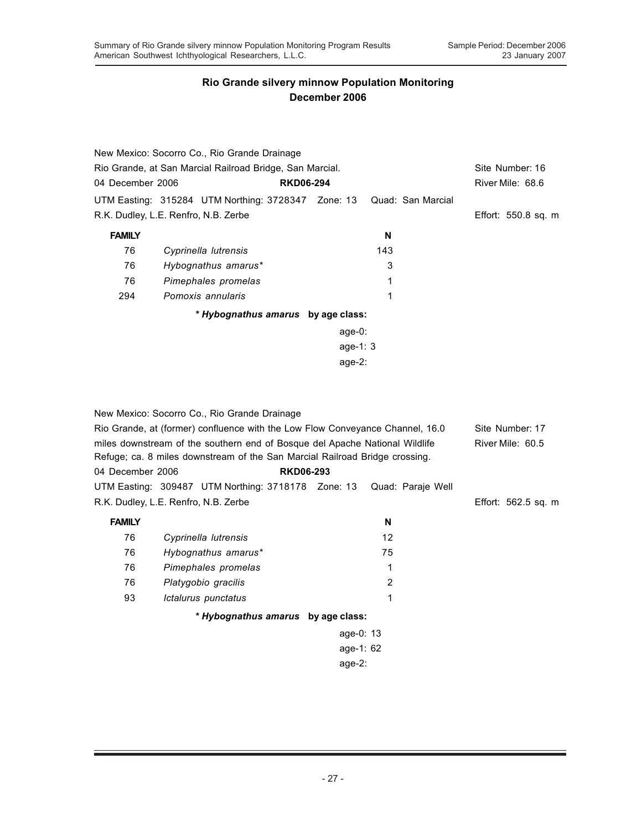|                                                          | New Mexico: Socorro Co., Rio Grande Drainage       |                  |     |                   |                     |
|----------------------------------------------------------|----------------------------------------------------|------------------|-----|-------------------|---------------------|
| Rio Grande, at San Marcial Railroad Bridge, San Marcial. |                                                    |                  |     |                   | Site Number: 16     |
| 04 December 2006                                         |                                                    | <b>RKD06-294</b> |     |                   | River Mile: 68.6    |
|                                                          | UTM Easting: 315284 UTM Northing: 3728347 Zone: 13 |                  |     | Quad: San Marcial |                     |
|                                                          | R.K. Dudley, L.E. Renfro, N.B. Zerbe               |                  |     |                   | Effort: 550.8 sq. m |
| <b>FAMILY</b>                                            |                                                    |                  | N   |                   |                     |
| 76                                                       | Cyprinella lutrensis                               |                  | 143 |                   |                     |
| 76                                                       | Hybognathus amarus*                                |                  | 3   |                   |                     |
| 76                                                       | Pimephales promelas                                |                  | 1   |                   |                     |
| 294                                                      | Pomoxis annularis                                  |                  |     |                   |                     |
|                                                          | * Hybognathus amarus by age class:                 |                  |     |                   |                     |
|                                                          |                                                    | age-0:           |     |                   |                     |
|                                                          |                                                    | age-1: $3$       |     |                   |                     |
|                                                          |                                                    | age- $2:$        |     |                   |                     |
|                                                          |                                                    |                  |     |                   |                     |

New Mexico: Socorro Co., Rio Grande Drainage Rio Grande, at (former) confluence with the Low Flow Conveyance Channel, 16.0 Site Number: 17 miles downstream of the southern end of Bosque del Apache National Wildlife River Mile: 60.5 Refuge; ca. 8 miles downstream of the San Marcial Railroad Bridge crossing. 04 December 2006 **RKD06-293** UTM Easting: 309487 UTM Northing: 3718178 Zone: 13 Quad: Paraje Well R.K. Dudley, L.E. Renfro, N.B. Zerbe Effort: 562.5 sq. m **FAMILY N** 76 *Cyprinella lutrensis* 12 76 *Hybognathus amarus\** 75 76 *Pimephales promelas* 1 76 *Platygobio gracilis* 2 93 *Ictalurus punctatus* 1 *\* Hybognathus amarus* **by age class:** age-0: 13 age-1: 62

age-2: